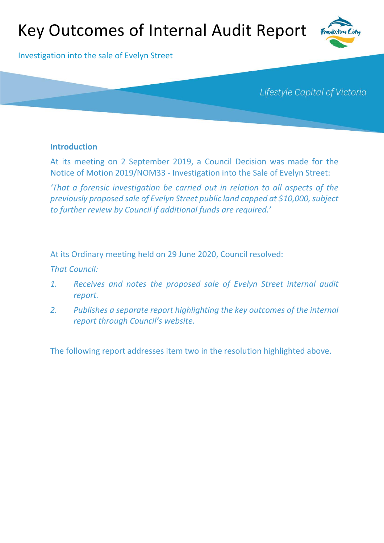# Key Outcomes of Internal Audit Report



Investigation into the sale of Evelyn Street

Lifestyle Capital of Victoria

## **Introduction**

At its meeting on 2 September 2019, a Council Decision was made for the Notice of Motion 2019/NOM33 - Investigation into the Sale of Evelyn Street:

*'That a forensic investigation be carried out in relation to all aspects of the previously proposed sale of Evelyn Street public land capped at \$10,000, subject to further review by Council if additional funds are required.'*

At its Ordinary meeting held on 29 June 2020, Council resolved:

*That Council:*

- *1. Receives and notes the proposed sale of Evelyn Street internal audit report.*
- *2. Publishes a separate report highlighting the key outcomes of the internal report through Council's website.*

The following report addresses item two in the resolution highlighted above.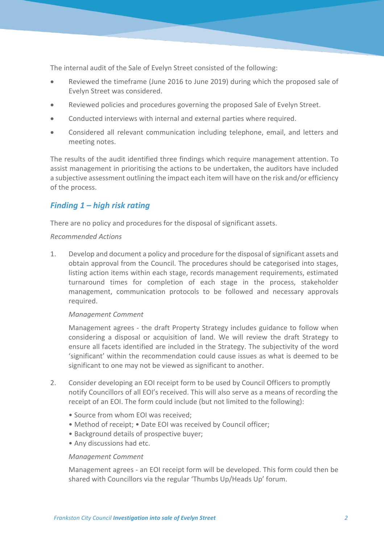The internal audit of the Sale of Evelyn Street consisted of the following:

- Reviewed the timeframe (June 2016 to June 2019) during which the proposed sale of Evelyn Street was considered.
- Reviewed policies and procedures governing the proposed Sale of Evelyn Street.
- Conducted interviews with internal and external parties where required.
- Considered all relevant communication including telephone, email, and letters and meeting notes.

The results of the audit identified three findings which require management attention. To assist management in prioritising the actions to be undertaken, the auditors have included a subjective assessment outlining the impact each item will have on the risk and/or efficiency of the process.

# *Finding 1 – high risk rating*

There are no policy and procedures for the disposal of significant assets.

## *Recommended Actions*

1. Develop and document a policy and procedure for the disposal of significant assets and obtain approval from the Council. The procedures should be categorised into stages, listing action items within each stage, records management requirements, estimated turnaround times for completion of each stage in the process, stakeholder management, communication protocols to be followed and necessary approvals required.

## *Management Comment*

Management agrees - the draft Property Strategy includes guidance to follow when considering a disposal or acquisition of land. We will review the draft Strategy to ensure all facets identified are included in the Strategy. The subjectivity of the word 'significant' within the recommendation could cause issues as what is deemed to be significant to one may not be viewed as significant to another.

- 2. Consider developing an EOI receipt form to be used by Council Officers to promptly notify Councillors of all EOI's received. This will also serve as a means of recording the receipt of an EOI. The form could include (but not limited to the following):
	- Source from whom EOI was received;
	- Method of receipt; Date EOI was received by Council officer;
	- Background details of prospective buyer;
	- Any discussions had etc.

#### *Management Comment*

Management agrees - an EOI receipt form will be developed. This form could then be shared with Councillors via the regular 'Thumbs Up/Heads Up' forum.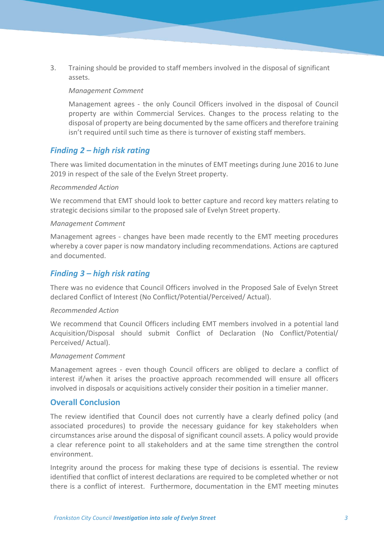3. Training should be provided to staff members involved in the disposal of significant assets.

### *Management Comment*

Management agrees - the only Council Officers involved in the disposal of Council property are within Commercial Services. Changes to the process relating to the disposal of property are being documented by the same officers and therefore training isn't required until such time as there is turnover of existing staff members.

## *Finding 2 – high risk rating*

There was limited documentation in the minutes of EMT meetings during June 2016 to June 2019 in respect of the sale of the Evelyn Street property.

## *Recommended Action*

We recommend that EMT should look to better capture and record key matters relating to strategic decisions similar to the proposed sale of Evelyn Street property.

## *Management Comment*

Management agrees - changes have been made recently to the EMT meeting procedures whereby a cover paper is now mandatory including recommendations. Actions are captured and documented.

## *Finding 3 – high risk rating*

There was no evidence that Council Officers involved in the Proposed Sale of Evelyn Street declared Conflict of Interest (No Conflict/Potential/Perceived/ Actual).

#### *Recommended Action*

We recommend that Council Officers including EMT members involved in a potential land Acquisition/Disposal should submit Conflict of Declaration (No Conflict/Potential/ Perceived/ Actual).

#### *Management Comment*

Management agrees - even though Council officers are obliged to declare a conflict of interest if/when it arises the proactive approach recommended will ensure all officers involved in disposals or acquisitions actively consider their position in a timelier manner.

## **Overall Conclusion**

The review identified that Council does not currently have a clearly defined policy (and associated procedures) to provide the necessary guidance for key stakeholders when circumstances arise around the disposal of significant council assets. A policy would provide a clear reference point to all stakeholders and at the same time strengthen the control environment.

Integrity around the process for making these type of decisions is essential. The review identified that conflict of interest declarations are required to be completed whether or not there is a conflict of interest. Furthermore, documentation in the EMT meeting minutes